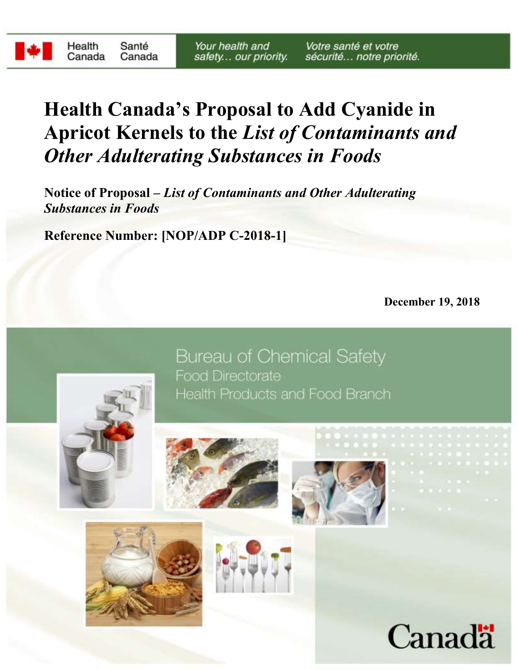**Notice of Proposal –** *List of Contaminants and Other Adulterating Substances in Foods*

**Reference Number: [NOP/ADP C-2018-1]**

**December 19, 2018**



**Bureau of Chemical Safety Food Directorate** Health Products and Food Branch









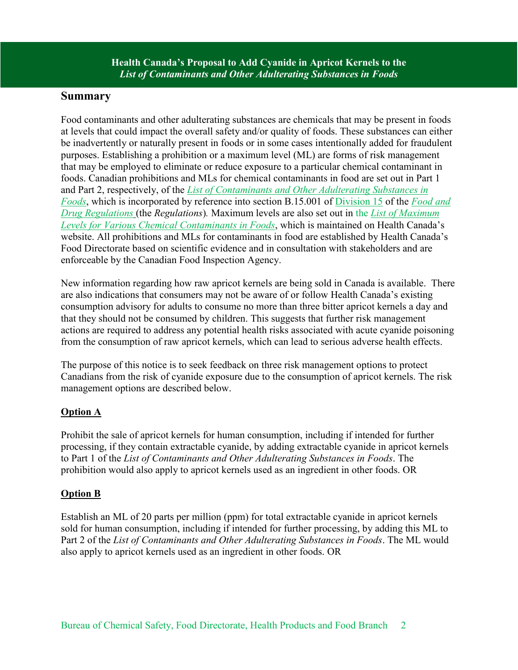#### **Summary**

Food contaminants and other adulterating substances are chemicals that may be present in foods at levels that could impact the overall safety and/or quality of foods. These substances can either be inadvertently or naturally present in foods or in some cases intentionally added for fraudulent purposes. Establishing a prohibition or a maximum level (ML) are forms of risk management that may be employed to eliminate or reduce exposure to a particular chemical contaminant in foods. Canadian prohibitions and MLs for chemical contaminants in food are set out in Part 1 and Part 2, respectively, of the *[List of Contaminants and Other Adulterating Substances in](http://www.hc-sc.gc.ca/fn-an/securit/chem-chim/adulterating-substances-adulterantes-eng.php)  [Foods](http://www.hc-sc.gc.ca/fn-an/securit/chem-chim/adulterating-substances-adulterantes-eng.php)*, which is incorporated by reference into section B.15.001 of [Division 15](http://laws-lois.justice.gc.ca/eng/regulations/c.r.c.,_c._870/page-71.html#h-109) of the *[Food and](http://laws-lois.justice.gc.ca/eng/regulations/c.r.c.,_c._870/index.html)  [Drug Regulations](http://laws-lois.justice.gc.ca/eng/regulations/c.r.c.,_c._870/index.html)* (the *Regulations*)*.* Maximum levels are also set out in the *[List of Maximum](https://www.canada.ca/en/health-canada/services/food-nutrition/food-safety/chemical-contaminants/maximum-levels-chemical-contaminants-foods.html)  [Levels for Various Chemical Contaminants in Foods](https://www.canada.ca/en/health-canada/services/food-nutrition/food-safety/chemical-contaminants/maximum-levels-chemical-contaminants-foods.html)*, which is maintained on Health Canada's website. All prohibitions and MLs for contaminants in food are established by Health Canada's Food Directorate based on scientific evidence and in consultation with stakeholders and are enforceable by the Canadian Food Inspection Agency.

New information regarding how raw apricot kernels are being sold in Canada is available. There are also indications that consumers may not be aware of or follow Health Canada's existing consumption advisory for adults to consume no more than three bitter apricot kernels a day and that they should not be consumed by children. This suggests that further risk management actions are required to address any potential health risks associated with acute cyanide poisoning from the consumption of raw apricot kernels, which can lead to serious adverse health effects.

The purpose of this notice is to seek feedback on three risk management options to protect Canadians from the risk of cyanide exposure due to the consumption of apricot kernels. The risk management options are described below.

# **Option A**

Prohibit the sale of apricot kernels for human consumption, including if intended for further processing, if they contain extractable cyanide, by adding extractable cyanide in apricot kernels to Part 1 of the *[List of Contaminants and Other Adulterating Substances in Foods](https://www.canada.ca/en/health-canada/services/food-nutrition/food-safety/chemical-contaminants/contaminants-adulterating-substances-foods.html)*. The prohibition would also apply to apricot kernels used as an ingredient in other foods. OR

# **Option B**

Establish an ML of 20 parts per million (ppm) for total extractable cyanide in apricot kernels sold for human consumption, including if intended for further processing, by adding this ML to Part 2 of the *List of Contaminants and Other Adulterating Substances in Foods*. The ML would also apply to apricot kernels used as an ingredient in other foods. OR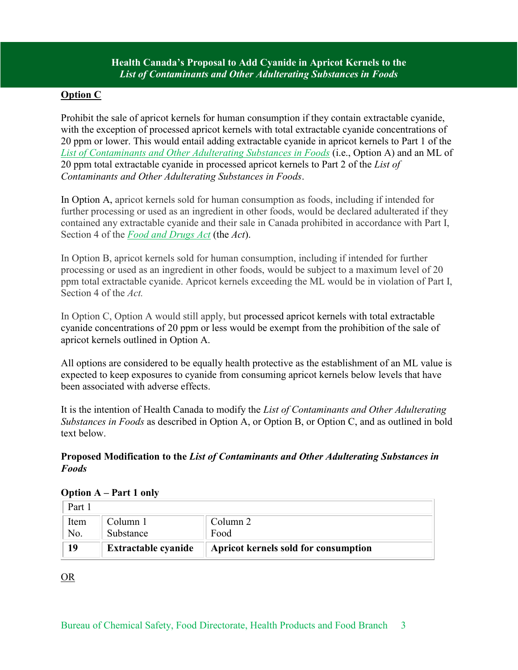#### **Option C**

Prohibit the sale of apricot kernels for human consumption if they contain extractable cyanide, with the exception of processed apricot kernels with total extractable cyanide concentrations of 20 ppm or lower. This would entail adding extractable cyanide in apricot kernels to Part 1 of the *List of [Contaminants and Other Adulterating Substances in Foods](https://www.canada.ca/en/health-canada/services/food-nutrition/food-safety/chemical-contaminants/contaminants-adulterating-substances-foods.html)* (i.e., Option A) and an ML of 20 ppm total extractable cyanide in processed apricot kernels to Part 2 of the *List of Contaminants and Other Adulterating Substances in Foods*.

In Option A, apricot kernels sold for human consumption as foods, including if intended for further processing or used as an ingredient in other foods, would be declared adulterated if they contained any extractable cyanide and their sale in Canada prohibited in accordance with Part I, Section 4 of the *[Food and Drugs Act](http://laws-lois.justice.gc.ca/eng/acts/F-27/page-2.html)* (the *Act*).

In Option B, apricot kernels sold for human consumption, including if intended for further processing or used as an ingredient in other foods, would be subject to a maximum level of 20 ppm total extractable cyanide. Apricot kernels exceeding the ML would be in violation of Part I, Section 4 of the *Act.*

In Option C, Option A would still apply, but processed apricot kernels with total extractable cyanide concentrations of 20 ppm or less would be exempt from the prohibition of the sale of apricot kernels outlined in Option A.

All options are considered to be equally health protective as the establishment of an ML value is expected to keep exposures to cyanide from consuming apricot kernels below levels that have been associated with adverse effects.

It is the intention of Health Canada to modify the *[List of Contaminants and Other Adulterating](https://www.canada.ca/en/health-canada/services/food-nutrition/food-safety/chemical-contaminants/contaminants-adulterating-substances-foods.html)  [Substances in Foods](https://www.canada.ca/en/health-canada/services/food-nutrition/food-safety/chemical-contaminants/contaminants-adulterating-substances-foods.html)* as described in Option A, or Option B, or Option C, and as outlined in bold text below.

#### **Proposed Modification to the** *List of Contaminants and Other Adulterating Substances in Foods*

| Part 1 |                            |                                      |
|--------|----------------------------|--------------------------------------|
| Item   | Column 1                   | Column 2                             |
| No.    | Substance                  | Food                                 |
| 19     | <b>Extractable cyanide</b> | Apricot kernels sold for consumption |

#### **Option A – Part 1 only**

# OR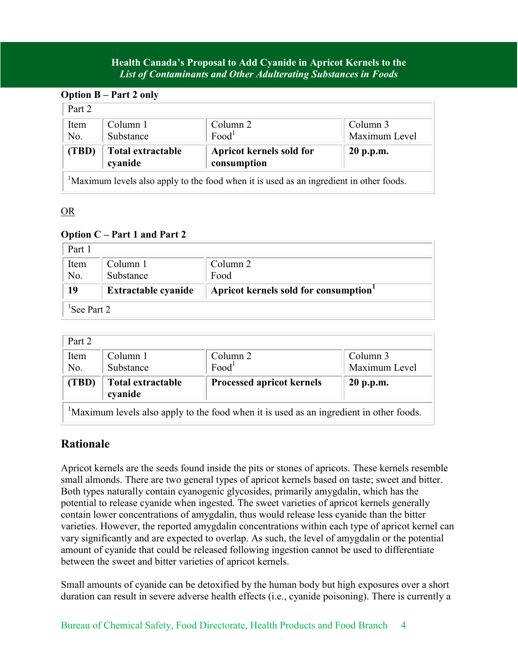| <b>Option B</b> – Part 2 only |                              |                                                                                                     |               |  |  |  |
|-------------------------------|------------------------------|-----------------------------------------------------------------------------------------------------|---------------|--|--|--|
| Part 2                        |                              |                                                                                                     |               |  |  |  |
| Item                          | Column 1                     | Column 2                                                                                            | Column 3      |  |  |  |
| No.                           | Substance                    | Food <sup>1</sup>                                                                                   | Maximum Level |  |  |  |
| (TBD)                         | Total extractable<br>cyanide | Apricot kernels sold for<br>consumption                                                             | 20 p.p.m.     |  |  |  |
|                               |                              | <sup>1</sup> Maximum levels also apply to the food when it is used as an ingredient in other foods. |               |  |  |  |

## OR

#### **Option C – Part 1 and Part 2**

| Part 1 |                            |                                      |
|--------|----------------------------|--------------------------------------|
| Item   | Column 1                   | Column 2                             |
| No.    | Substance                  | Food                                 |
| 19     | <b>Extractable cyanide</b> | Apricot kernels sold for consumption |
|        |                            |                                      |

| Part 2 |                   |                                  |               |
|--------|-------------------|----------------------------------|---------------|
| Item   | Column 1          | Column 2                         | Column 3      |
| No.    | Substance         | Food <sup>1</sup>                | Maximum Level |
| (TBD)  | Total extractable | <b>Processed apricot kernels</b> | 20 p.p.m.     |
|        | cvanide           |                                  |               |

# **Rationale**

Apricot kernels are the seeds found inside the pits or stones of apricots. These kernels resemble small almonds. There are two general types of apricot kernels based on taste; sweet and bitter. Both types naturally contain cyanogenic glycosides, primarily amygdalin, which has the potential to release cyanide when ingested. The sweet varieties of apricot kernels generally contain lower concentrations of amygdalin, thus would release less cyanide than the bitter varieties. However, the reported amygdalin concentrations within each type of apricot kernel can vary significantly and are expected to overlap. As such, the level of amygdalin or the potential amount of cyanide that could be released following ingestion cannot be used to differentiate between the sweet and bitter varieties of apricot kernels.

Small amounts of cyanide can be detoxified by the human body but high exposures over a short duration can result in severe adverse health effects (i.e., cyanide poisoning). There is currently a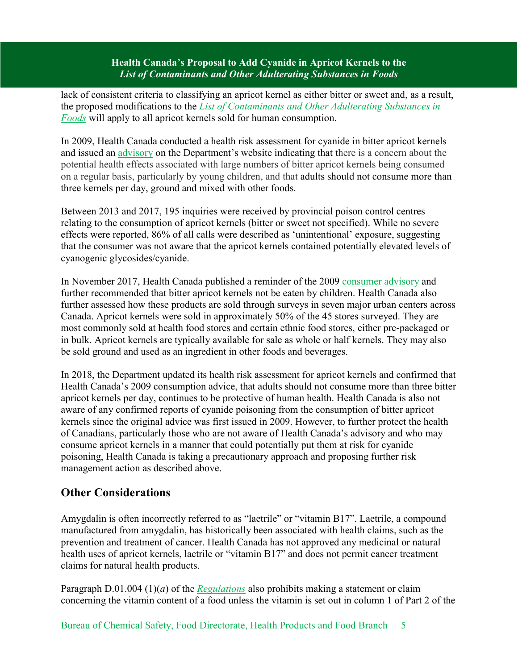lack of consistent criteria to classifying an apricot kernel as either bitter or sweet and, as a result, the proposed modifications to the *[List of Contaminants and Other Adulterating Substances in](https://www.canada.ca/en/health-canada/services/food-nutrition/food-safety/chemical-contaminants/contaminants-adulterating-substances-foods.html)  [Foods](https://www.canada.ca/en/health-canada/services/food-nutrition/food-safety/chemical-contaminants/contaminants-adulterating-substances-foods.html)* will apply to all apricot kernels sold for human consumption.

In 2009, Health Canada conducted a health risk assessment for cyanide in bitter apricot kernels and issued an [advisory](https://www.canada.ca/en/health-canada/services/food-nutrition/reports-publications/food-safety/cyanide-bitter-apricot-kernels.html) on the Department's website indicating that there is a concern about the potential health effects associated with large numbers of bitter apricot kernels being consumed on a regular basis, particularly by young children, and that adults should not consume more than three kernels per day, ground and mixed with other foods.

Between 2013 and 2017, 195 inquiries were received by provincial poison control centres relating to the consumption of apricot kernels (bitter or sweet not specified). While no severe effects were reported, 86% of all calls were described as 'unintentional' exposure, suggesting that the consumer was not aware that the apricot kernels contained potentially elevated levels of cyanogenic glycosides/cyanide.

In November 2017, Health Canada published a reminder of the 2009 [consumer advisory](http://www.healthycanadians.gc.ca/recall-alert-rappel-avis/hc-sc/2017/65316a-eng.php?_ga=2.74602704.331778375.1530125995-1783249510.1491932187) and further recommended that bitter apricot kernels not be eaten by children. Health Canada also further assessed how these products are sold through surveys in seven major urban centers across Canada. Apricot kernels were sold in approximately 50% of the 45 stores surveyed. They are most commonly sold at health food stores and certain ethnic food stores, either pre-packaged or in bulk. Apricot kernels are typically available for sale as whole or half kernels. They may also be sold ground and used as an ingredient in other foods and beverages.

In 2018, the Department updated its health risk assessment for apricot kernels and confirmed that Health Canada's 2009 consumption advice, that adults should not consume more than three bitter apricot kernels per day, continues to be protective of human health. Health Canada is also not aware of any confirmed reports of cyanide poisoning from the consumption of bitter apricot kernels since the original advice was first issued in 2009. However, to further protect the health of Canadians, particularly those who are not aware of Health Canada's advisory and who may consume apricot kernels in a manner that could potentially put them at risk for cyanide poisoning, Health Canada is taking a precautionary approach and proposing further risk management action as described above.

# **Other Considerations**

Amygdalin is often incorrectly referred to as "laetrile" or "vitamin B17". Laetrile, a compound manufactured from amygdalin, has historically been associated with health claims, such as the prevention and treatment of cancer. Health Canada has not approved any medicinal or natural health uses of apricot kernels, laetrile or "vitamin B17" and does not permit cancer treatment claims for natural health products.

Paragraph D.01.004 (1)(*a*) of the *[Regulations](http://laws-lois.justice.gc.ca/eng/regulations/C.R.C.,_c._870/index.html)* also prohibits making a statement or claim concerning the vitamin content of a food unless the vitamin is set out in column 1 of Part 2 of the

Bureau of Chemical Safety, Food Directorate, Health Products and Food Branch 5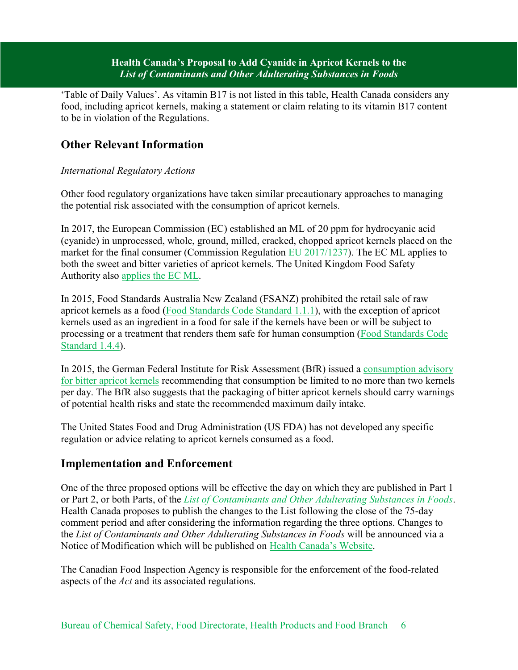'Table of Daily Values'. As vitamin B17 is not listed in this table, Health Canada considers any food, including apricot kernels, making a statement or claim relating to its vitamin B17 content to be in violation of the Regulations.

# **Other Relevant Information**

#### *International Regulatory Actions*

Other food regulatory organizations have taken similar precautionary approaches to managing the potential risk associated with the consumption of apricot kernels.

In 2017, the European Commission (EC) established an ML of 20 ppm for hydrocyanic acid (cyanide) in unprocessed, whole, ground, milled, cracked, chopped apricot kernels placed on the market for the final consumer (Commission Regulation [EU 2017/1237\)](https://publications.europa.eu/en/publication-detail/-/publication/6ac207d0-639f-11e7-b2f2-01aa75ed71a1/language-en). The EC ML applies to both the sweet and bitter varieties of apricot kernels. The United Kingdom Food Safety Authority also [applies the EC ML.](https://www.food.gov.uk/sites/default/files/media/document/lettertofbo.pdf)

In 2015, Food Standards Australia New Zealand (FSANZ) prohibited the retail sale of raw apricot kernels as a food [\(Food Standards Code Standard 1.1.1\)](http://www.foodstandards.gov.au/code/Pages/default.aspx), with the exception of apricot kernels used as an ingredient in a food for sale if the kernels have been or will be subject to processing or a treatment that renders them safe for human consumption [\(Food Standards Code](http://www.foodstandards.gov.au/code/Pages/default.aspx)  [Standard 1.4.4\)](http://www.foodstandards.gov.au/code/Pages/default.aspx).

In 2015, the German Federal Institute for Risk Assessment (BfR) issued a [consumption advisory](http://www.bfr.bund.de/cm/349/two-bitter-apricot-kernels-per-day-are-the-limit-for-adults-children-should-refrain-from-consuming-apricot-kernels-altogether.pdf)  [for bitter apricot kernels](http://www.bfr.bund.de/cm/349/two-bitter-apricot-kernels-per-day-are-the-limit-for-adults-children-should-refrain-from-consuming-apricot-kernels-altogether.pdf) recommending that consumption be limited to no more than two kernels per day. The BfR also suggests that the packaging of bitter apricot kernels should carry warnings of potential health risks and state the recommended maximum daily intake.

The United States Food and Drug Administration (US FDA) has not developed any specific regulation or advice relating to apricot kernels consumed as a food.

# **Implementation and Enforcement**

One of the three proposed options will be effective the day on which they are published in Part 1 or Part 2, or both Parts, of the *[List of Contaminants and Other Adulterating Substances in Foods](https://www.canada.ca/en/health-canada/services/food-nutrition/food-safety/chemical-contaminants/contaminants-adulterating-substances-foods.html)*. Health Canada proposes to publish the changes to the List following the close of the 75-day comment period and after considering the information regarding the three options. Changes to the *List of Contaminants and Other Adulterating Substances in Foods* will be announced via a Notice of Modification which will be published on [Health Canada's Website](https://www.canada.ca/en/health-canada/services/food-nutrition/public-involvement-partnerships.html).

The Canadian Food Inspection Agency is responsible for the enforcement of the food-related aspects of the *Act* and its associated regulations.